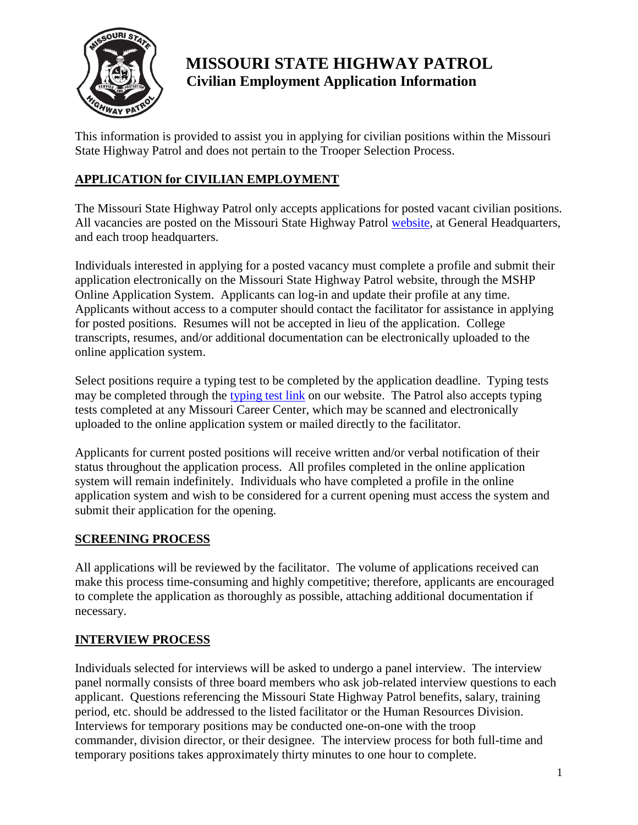

# **MISSOURI STATE HIGHWAY PATROL Civilian Employment Application Information**

This information is provided to assist you in applying for civilian positions within the Missouri State Highway Patrol and does not pertain to the Trooper Selection Process.

## **APPLICATION for CIVILIAN EMPLOYMENT**

The Missouri State Highway Patrol only accepts applications for posted vacant civilian positions. All vacancies are posted on the Missouri State Highway Patrol [website,](https://www.mshp.dps.missouri.gov/HRIS/external/jobList.do) at General Headquarters, and each troop headquarters.

Individuals interested in applying for a posted vacancy must complete a profile and submit their application electronically on the Missouri State Highway Patrol website, through the MSHP Online Application System. Applicants can log-in and update their profile at any time. Applicants without access to a computer should contact the facilitator for assistance in applying for posted positions. Resumes will not be accepted in lieu of the application. College transcripts, resumes, and/or additional documentation can be electronically uploaded to the online application system.

Select positions require a typing test to be completed by the application deadline. Typing tests may be completed through the [typing test link](http://mshp-hrd.assesstyping.com/) on our website. The Patrol also accepts typing tests completed at any Missouri Career Center, which may be scanned and electronically uploaded to the online application system or mailed directly to the facilitator.

Applicants for current posted positions will receive written and/or verbal notification of their status throughout the application process. All profiles completed in the online application system will remain indefinitely. Individuals who have completed a profile in the online application system and wish to be considered for a current opening must access the system and submit their application for the opening.

### **SCREENING PROCESS**

All applications will be reviewed by the facilitator. The volume of applications received can make this process time-consuming and highly competitive; therefore, applicants are encouraged to complete the application as thoroughly as possible, attaching additional documentation if necessary.

### **INTERVIEW PROCESS**

Individuals selected for interviews will be asked to undergo a panel interview. The interview panel normally consists of three board members who ask job-related interview questions to each applicant. Questions referencing the Missouri State Highway Patrol benefits, salary, training period, etc. should be addressed to the listed facilitator or the Human Resources Division. Interviews for temporary positions may be conducted one-on-one with the troop commander, division director, or their designee. The interview process for both full-time and temporary positions takes approximately thirty minutes to one hour to complete.